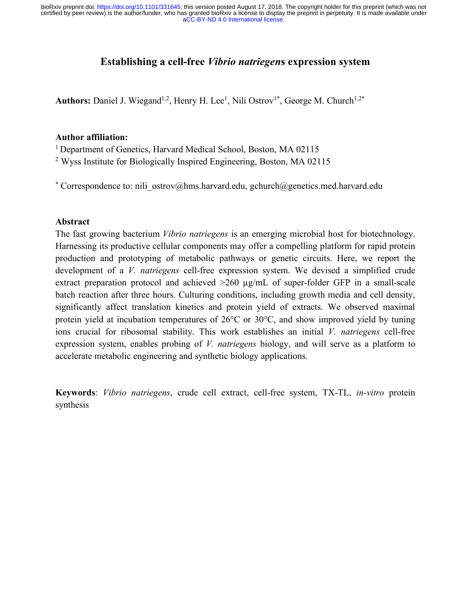[aCC-BY-ND 4.0 International license.](http://creativecommons.org/licenses/by-nd/4.0/) certified by peer review) is the author/funder, who has granted bioRxiv a license to display the preprint in perpetuity. It is made available under bioRxiv preprint doi: [https://doi.org/10.1101/331645;](https://doi.org/10.1101/331645) this version posted August 17, 2018. The copyright holder for this preprint (which was not

# **Establishing a cell-free** *Vibrio natriegen***s expression system**

Authors: Daniel J. Wiegand<sup>1,2</sup>, Henry H. Lee<sup>1</sup>, Nili Ostrov<sup>1\*</sup>, George M. Church<sup>1,2\*</sup>

#### **Author affiliation:**

<sup>1</sup> Department of Genetics, Harvard Medical School, Boston, MA 02115

<sup>2</sup> Wyss Institute for Biologically Inspired Engineering, Boston, MA 02115

\* Correspondence to: nili\_ostrov@hms.harvard.edu, gchurch@genetics.med.harvard.edu

#### **Abstract**

The fast growing bacterium *Vibrio natriegens* is an emerging microbial host for biotechnology. Harnessing its productive cellular components may offer a compelling platform for rapid protein production and prototyping of metabolic pathways or genetic circuits. Here, we report the development of a *V. natriegens* cell-free expression system. We devised a simplified crude extract preparation protocol and achieved  $>260 \mu g/mL$  of super-folder GFP in a small-scale batch reaction after three hours. Culturing conditions, including growth media and cell density, significantly affect translation kinetics and protein yield of extracts. We observed maximal protein yield at incubation temperatures of 26°C or 30°C, and show improved yield by tuning ions crucial for ribosomal stability. This work establishes an initial *V. natriegens* cell-free expression system, enables probing of *V. natriegens* biology, and will serve as a platform to accelerate metabolic engineering and synthetic biology applications.

**Keywords**: *Vibrio natriegens*, crude cell extract, cell-free system, TX-TL, *in-vitro* protein synthesis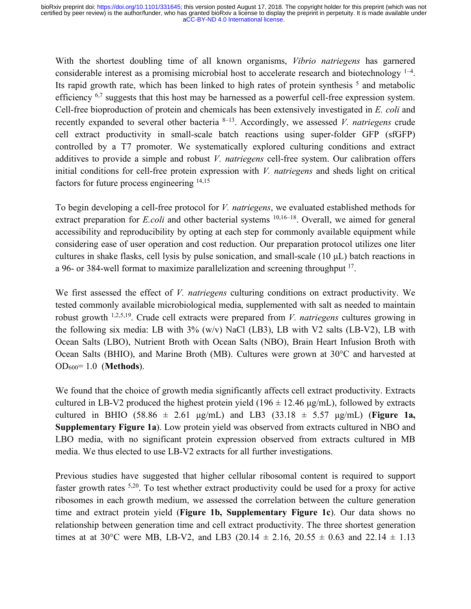With the shortest doubling time of all known organisms, *Vibrio natriegens* has garnered considerable interest as a promising microbial host to accelerate research and biotechnology <sup>1-4</sup>. Its rapid growth rate, which has been linked to high rates of protein synthesis  $<sup>5</sup>$  and metabolic</sup> efficiency <sup>6,7</sup> suggests that this host may be harnessed as a powerful cell-free expression system. Cell-free bioproduction of protein and chemicals has been extensively investigated in *E. coli* and recently expanded to several other bacteria 8–13. Accordingly, we assessed *V. natriegens* crude cell extract productivity in small-scale batch reactions using super-folder GFP (sfGFP) controlled by a T7 promoter. We systematically explored culturing conditions and extract additives to provide a simple and robust *V. natriegens* cell-free system. Our calibration offers initial conditions for cell-free protein expression with *V. natriegens* and sheds light on critical factors for future process engineering 14,15

To begin developing a cell-free protocol for *V. natriegens*, we evaluated established methods for extract preparation for *E.coli* and other bacterial systems <sup>10,16–18</sup>. Overall, we aimed for general accessibility and reproducibility by opting at each step for commonly available equipment while considering ease of user operation and cost reduction. Our preparation protocol utilizes one liter cultures in shake flasks, cell lysis by pulse sonication, and small-scale (10 µL) batch reactions in a 96- or 384-well format to maximize parallelization and screening throughput 17.

We first assessed the effect of *V. natriegens* culturing conditions on extract productivity. We tested commonly available microbiological media, supplemented with salt as needed to maintain robust growth 1,2,5,19. Crude cell extracts were prepared from *V. natriegens* cultures growing in the following six media: LB with  $3\%$  (w/v) NaCl (LB3), LB with V2 salts (LB-V2), LB with Ocean Salts (LBO), Nutrient Broth with Ocean Salts (NBO), Brain Heart Infusion Broth with Ocean Salts (BHIO), and Marine Broth (MB). Cultures were grown at 30°C and harvested at OD600= 1.0 (**Methods**).

We found that the choice of growth media significantly affects cell extract productivity. Extracts cultured in LB-V2 produced the highest protein yield (196  $\pm$  12.46 µg/mL), followed by extracts cultured in BHIO (58.86  $\pm$  2.61 µg/mL) and LB3 (33.18  $\pm$  5.57 µg/mL) (**Figure 1a, Supplementary Figure 1a**). Low protein yield was observed from extracts cultured in NBO and LBO media, with no significant protein expression observed from extracts cultured in MB media. We thus elected to use LB-V2 extracts for all further investigations.

Previous studies have suggested that higher cellular ribosomal content is required to support faster growth rates 5,20. To test whether extract productivity could be used for a proxy for active ribosomes in each growth medium, we assessed the correlation between the culture generation time and extract protein yield (**Figure 1b, Supplementary Figure 1c**). Our data shows no relationship between generation time and cell extract productivity. The three shortest generation times at at 30°C were MB, LB-V2, and LB3 (20.14  $\pm$  2.16, 20.55  $\pm$  0.63 and 22.14  $\pm$  1.13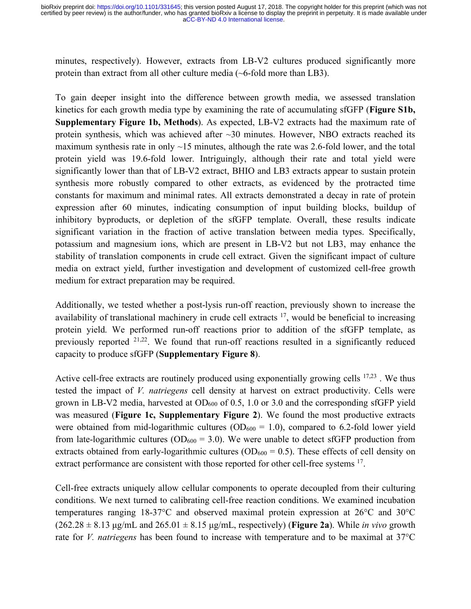minutes, respectively). However, extracts from LB-V2 cultures produced significantly more protein than extract from all other culture media (~6-fold more than LB3).

To gain deeper insight into the difference between growth media, we assessed translation kinetics for each growth media type by examining the rate of accumulating sfGFP (**Figure S1b, Supplementary Figure 1b, Methods**). As expected, LB-V2 extracts had the maximum rate of protein synthesis, which was achieved after  $\sim$ 30 minutes. However, NBO extracts reached its maximum synthesis rate in only  $\sim$ 15 minutes, although the rate was 2.6-fold lower, and the total protein yield was 19.6-fold lower. Intriguingly, although their rate and total yield were significantly lower than that of LB-V2 extract, BHIO and LB3 extracts appear to sustain protein synthesis more robustly compared to other extracts, as evidenced by the protracted time constants for maximum and minimal rates. All extracts demonstrated a decay in rate of protein expression after 60 minutes, indicating consumption of input building blocks, buildup of inhibitory byproducts, or depletion of the sfGFP template. Overall, these results indicate significant variation in the fraction of active translation between media types. Specifically, potassium and magnesium ions, which are present in LB-V2 but not LB3, may enhance the stability of translation components in crude cell extract. Given the significant impact of culture media on extract yield, further investigation and development of customized cell-free growth medium for extract preparation may be required.

Additionally, we tested whether a post-lysis run-off reaction, previously shown to increase the availability of translational machinery in crude cell extracts 17, would be beneficial to increasing protein yield. We performed run-off reactions prior to addition of the sfGFP template, as previously reported 21,22. We found that run-off reactions resulted in a significantly reduced capacity to produce sfGFP (**Supplementary Figure 8**).

Active cell-free extracts are routinely produced using exponentially growing cells <sup>17,23</sup>. We thus tested the impact of *V. natriegens* cell density at harvest on extract productivity. Cells were grown in LB-V2 media, harvested at  $OD_{600}$  of 0.5, 1.0 or 3.0 and the corresponding sfGFP yield was measured (**Figure 1c, Supplementary Figure 2**). We found the most productive extracts were obtained from mid-logarithmic cultures  $(OD_{600} = 1.0)$ , compared to 6.2-fold lower yield from late-logarithmic cultures ( $OD_{600} = 3.0$ ). We were unable to detect sfGFP production from extracts obtained from early-logarithmic cultures ( $OD_{600} = 0.5$ ). These effects of cell density on extract performance are consistent with those reported for other cell-free systems <sup>17</sup>.

Cell-free extracts uniquely allow cellular components to operate decoupled from their culturing conditions. We next turned to calibrating cell-free reaction conditions. We examined incubation temperatures ranging 18-37°C and observed maximal protein expression at 26°C and 30°C  $(262.28 \pm 8.13 \,\mu\text{g/mL}$  and  $265.01 \pm 8.15 \,\mu\text{g/mL}$ , respectively) (**Figure 2a**). While *in vivo* growth rate for *V. natriegens* has been found to increase with temperature and to be maximal at 37°C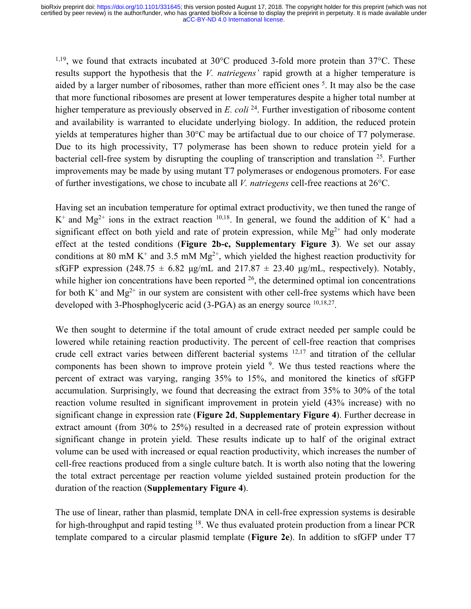$1,19$ , we found that extracts incubated at 30 $^{\circ}$ C produced 3-fold more protein than 37 $^{\circ}$ C. These results support the hypothesis that the *V. natriegens'* rapid growth at a higher temperature is aided by a larger number of ribosomes, rather than more efficient ones <sup>5</sup>. It may also be the case that more functional ribosomes are present at lower temperatures despite a higher total number at higher temperature as previously observed in *E. coli* <sup>24</sup>. Further investigation of ribosome content and availability is warranted to elucidate underlying biology. In addition, the reduced protein yields at temperatures higher than 30°C may be artifactual due to our choice of T7 polymerase. Due to its high processivity, T7 polymerase has been shown to reduce protein yield for a bacterial cell-free system by disrupting the coupling of transcription and translation 25. Further improvements may be made by using mutant T7 polymerases or endogenous promoters. For ease of further investigations, we chose to incubate all *V. natriegens* cell-free reactions at 26°C.

Having set an incubation temperature for optimal extract productivity, we then tuned the range of  $K^+$  and  $Mg^{2+}$  ions in the extract reaction <sup>10,18</sup>. In general, we found the addition of  $K^+$  had a significant effect on both yield and rate of protein expression, while  $Mg^{2+}$  had only moderate effect at the tested conditions (**Figure 2b-c, Supplementary Figure 3**). We set our assay conditions at 80 mM K<sup>+</sup> and 3.5 mM Mg<sup>2+</sup>, which yielded the highest reaction productivity for sfGFP expression (248.75  $\pm$  6.82 µg/mL and 217.87  $\pm$  23.40 µg/mL, respectively). Notably, while higher ion concentrations have been reported <sup>26</sup>, the determined optimal ion concentrations for both  $K^+$  and  $Mg^{2+}$  in our system are consistent with other cell-free systems which have been developed with 3-Phosphoglyceric acid (3-PGA) as an energy source <sup>10,18,27</sup>.

We then sought to determine if the total amount of crude extract needed per sample could be lowered while retaining reaction productivity. The percent of cell-free reaction that comprises crude cell extract varies between different bacterial systems 12,17 and titration of the cellular components has been shown to improve protein yield <sup>9</sup>. We thus tested reactions where the percent of extract was varying, ranging 35% to 15%, and monitored the kinetics of sfGFP accumulation. Surprisingly, we found that decreasing the extract from 35% to 30% of the total reaction volume resulted in significant improvement in protein yield (43% increase) with no significant change in expression rate (**Figure 2d**, **Supplementary Figure 4**). Further decrease in extract amount (from 30% to 25%) resulted in a decreased rate of protein expression without significant change in protein yield. These results indicate up to half of the original extract volume can be used with increased or equal reaction productivity, which increases the number of cell-free reactions produced from a single culture batch. It is worth also noting that the lowering the total extract percentage per reaction volume yielded sustained protein production for the duration of the reaction (**Supplementary Figure 4**).

The use of linear, rather than plasmid, template DNA in cell-free expression systems is desirable for high-throughput and rapid testing 18. We thus evaluated protein production from a linear PCR template compared to a circular plasmid template (**Figure 2e**). In addition to sfGFP under T7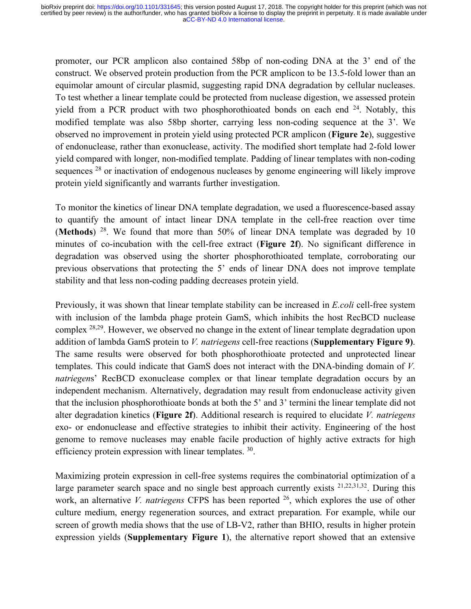promoter, our PCR amplicon also contained 58bp of non-coding DNA at the 3' end of the construct. We observed protein production from the PCR amplicon to be 13.5-fold lower than an equimolar amount of circular plasmid, suggesting rapid DNA degradation by cellular nucleases. To test whether a linear template could be protected from nuclease digestion, we assessed protein yield from a PCR product with two phosphorothioated bonds on each end  $24$ . Notably, this modified template was also 58bp shorter, carrying less non-coding sequence at the 3'. We observed no improvement in protein yield using protected PCR amplicon (**Figure 2e**), suggestive of endonuclease, rather than exonuclease, activity. The modified short template had 2-fold lower yield compared with longer, non-modified template. Padding of linear templates with non-coding sequences <sup>28</sup> or inactivation of endogenous nucleases by genome engineering will likely improve protein yield significantly and warrants further investigation.

To monitor the kinetics of linear DNA template degradation, we used a fluorescence-based assay to quantify the amount of intact linear DNA template in the cell-free reaction over time (**Methods**) 28. We found that more than 50% of linear DNA template was degraded by 10 minutes of co-incubation with the cell-free extract (**Figure 2f**). No significant difference in degradation was observed using the shorter phosphorothioated template, corroborating our previous observations that protecting the 5' ends of linear DNA does not improve template stability and that less non-coding padding decreases protein yield.

Previously, it was shown that linear template stability can be increased in *E.coli* cell-free system with inclusion of the lambda phage protein GamS, which inhibits the host RecBCD nuclease complex 28,29. However, we observed no change in the extent of linear template degradation upon addition of lambda GamS protein to *V. natriegens* cell-free reactions (**Supplementary Figure 9)**. The same results were observed for both phosphorothioate protected and unprotected linear templates. This could indicate that GamS does not interact with the DNA-binding domain of *V. natriegen*s' RecBCD exonuclease complex or that linear template degradation occurs by an independent mechanism. Alternatively, degradation may result from endonuclease activity given that the inclusion phosphorothioate bonds at both the 5' and 3' termini the linear template did not alter degradation kinetics (**Figure 2f**). Additional research is required to elucidate *V. natriegens* exo- or endonuclease and effective strategies to inhibit their activity. Engineering of the host genome to remove nucleases may enable facile production of highly active extracts for high efficiency protein expression with linear templates. <sup>30</sup>.

Maximizing protein expression in cell-free systems requires the combinatorial optimization of a large parameter search space and no single best approach currently exists <sup>21,22,31,32</sup>. During this work, an alternative *V. natriegens* CFPS has been reported <sup>26</sup>, which explores the use of other culture medium, energy regeneration sources, and extract preparation. For example, while our screen of growth media shows that the use of LB-V2, rather than BHIO, results in higher protein expression yields (**Supplementary Figure 1**), the alternative report showed that an extensive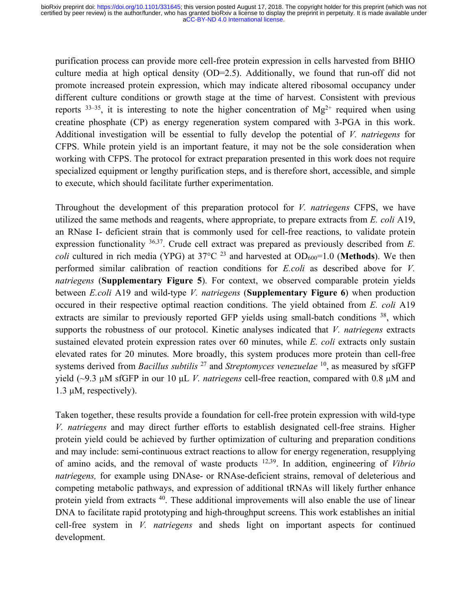purification process can provide more cell-free protein expression in cells harvested from BHIO culture media at high optical density (OD=2.5). Additionally, we found that run-off did not promote increased protein expression, which may indicate altered ribosomal occupancy under different culture conditions or growth stage at the time of harvest. Consistent with previous reports  $33-35$ , it is interesting to note the higher concentration of Mg<sup>2+</sup> required when using creatine phosphate (CP) as energy regeneration system compared with 3-PGA in this work. Additional investigation will be essential to fully develop the potential of *V. natriegens* for CFPS. While protein yield is an important feature, it may not be the sole consideration when working with CFPS. The protocol for extract preparation presented in this work does not require specialized equipment or lengthy purification steps, and is therefore short, accessible, and simple to execute, which should facilitate further experimentation.

Throughout the development of this preparation protocol for *V. natriegens* CFPS, we have utilized the same methods and reagents, where appropriate, to prepare extracts from *E. coli* A19, an RNase I- deficient strain that is commonly used for cell-free reactions, to validate protein expression functionality 36,37. Crude cell extract was prepared as previously described from *E. coli* cultured in rich media (YPG) at 37 $^{\circ}$ C <sup>23</sup> and harvested at OD<sub>600</sub>=1.0 (**Methods**). We then performed similar calibration of reaction conditions for *E.coli* as described above for *V. natriegens* (**Supplementary Figure 5**). For context, we observed comparable protein yields between *E.coli* A19 and wild-type *V. natriegens* (**Supplementary Figure 6**) when production occured in their respective optimal reaction conditions. The yield obtained from *E. coli* A19 extracts are similar to previously reported GFP yields using small-batch conditions <sup>38</sup>, which supports the robustness of our protocol. Kinetic analyses indicated that *V. natriegens* extracts sustained elevated protein expression rates over 60 minutes, while *E. coli* extracts only sustain elevated rates for 20 minutes. More broadly, this system produces more protein than cell-free systems derived from *Bacillus subtilis* <sup>27</sup> and *Streptomyces venezuelae* 10, as measured by sfGFP yield (~9.3 µM sfGFP in our 10 µL *V. natriegens* cell-free reaction, compared with 0.8 µM and 1.3 µM, respectively).

Taken together, these results provide a foundation for cell-free protein expression with wild-type *V. natriegens* and may direct further efforts to establish designated cell-free strains. Higher protein yield could be achieved by further optimization of culturing and preparation conditions and may include: semi-continuous extract reactions to allow for energy regeneration, resupplying of amino acids, and the removal of waste products 12,39. In addition, engineering of *Vibrio natriegens,* for example using DNAse- or RNAse-deficient strains, removal of deleterious and competing metabolic pathways, and expression of additional tRNAs will likely further enhance protein yield from extracts 40. These additional improvements will also enable the use of linear DNA to facilitate rapid prototyping and high-throughput screens. This work establishes an initial cell-free system in *V. natriegens* and sheds light on important aspects for continued development.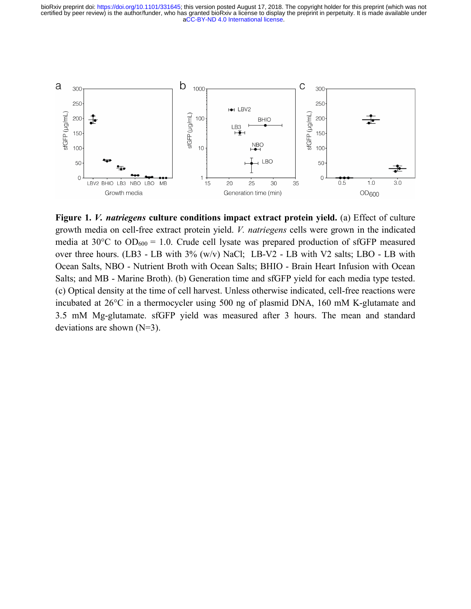[aCC-BY-ND 4.0 International license.](http://creativecommons.org/licenses/by-nd/4.0/) certified by peer review) is the author/funder, who has granted bioRxiv a license to display the preprint in perpetuity. It is made available under bioRxiv preprint doi: [https://doi.org/10.1101/331645;](https://doi.org/10.1101/331645) this version posted August 17, 2018. The copyright holder for this preprint (which was not



**Figure 1.** *V. natriegens* **culture conditions impact extract protein yield.** (a) Effect of culture growth media on cell-free extract protein yield. *V. natriegens* cells were grown in the indicated media at  $30^{\circ}$ C to  $OD_{600} = 1.0$ . Crude cell lysate was prepared production of sfGFP measured over three hours. (LB3 - LB with 3% (w/v) NaCl; LB-V2 - LB with V2 salts; LBO - LB with Ocean Salts, NBO - Nutrient Broth with Ocean Salts; BHIO - Brain Heart Infusion with Ocean Salts; and MB - Marine Broth). (b) Generation time and sfGFP yield for each media type tested. (c) Optical density at the time of cell harvest. Unless otherwise indicated, cell-free reactions were incubated at 26°C in a thermocycler using 500 ng of plasmid DNA, 160 mM K-glutamate and 3.5 mM Mg-glutamate. sfGFP yield was measured after 3 hours. The mean and standard deviations are shown (N=3).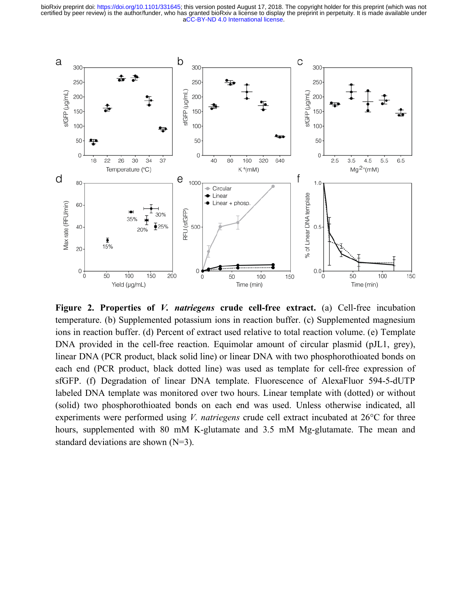[aCC-BY-ND 4.0 International license.](http://creativecommons.org/licenses/by-nd/4.0/) certified by peer review) is the author/funder, who has granted bioRxiv a license to display the preprint in perpetuity. It is made available under bioRxiv preprint doi: [https://doi.org/10.1101/331645;](https://doi.org/10.1101/331645) this version posted August 17, 2018. The copyright holder for this preprint (which was not



**Figure 2. Properties of** *V. natriegens* **crude cell-free extract.** (a) Cell-free incubation temperature. (b) Supplemented potassium ions in reaction buffer. (c) Supplemented magnesium ions in reaction buffer. (d) Percent of extract used relative to total reaction volume. (e) Template DNA provided in the cell-free reaction. Equimolar amount of circular plasmid (pJL1, grey), linear DNA (PCR product, black solid line) or linear DNA with two phosphorothioated bonds on each end (PCR product, black dotted line) was used as template for cell-free expression of sfGFP. (f) Degradation of linear DNA template. Fluorescence of AlexaFluor 594-5-dUTP labeled DNA template was monitored over two hours. Linear template with (dotted) or without (solid) two phosphorothioated bonds on each end was used. Unless otherwise indicated, all experiments were performed using *V. natriegens* crude cell extract incubated at 26°C for three hours, supplemented with 80 mM K-glutamate and 3.5 mM Mg-glutamate. The mean and standard deviations are shown (N=3).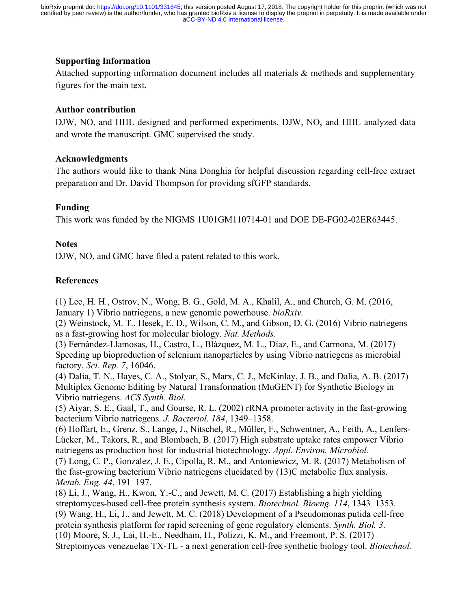## **Supporting Information**

Attached supporting information document includes all materials & methods and supplementary figures for the main text.

## **Author contribution**

DJW, NO, and HHL designed and performed experiments. DJW, NO, and HHL analyzed data and wrote the manuscript. GMC supervised the study.

### **Acknowledgments**

The authors would like to thank Nina Donghia for helpful discussion regarding cell-free extract preparation and Dr. David Thompson for providing sfGFP standards.

# **Funding**

This work was funded by the NIGMS 1U01GM110714-01 and DOE DE-FG02-02ER63445.

### **Notes**

DJW, NO, and GMC have filed a patent related to this work.

# **References**

(1) Lee, H. H., Ostrov, N., Wong, B. G., Gold, M. A., Khalil, A., and Church, G. M. (2016, January 1) Vibrio natriegens, a new genomic powerhouse. *bioRxiv*.

(2) Weinstock, M. T., Hesek, E. D., Wilson, C. M., and Gibson, D. G. (2016) Vibrio natriegens as a fast-growing host for molecular biology. *Nat. Methods*.

(3) Fernández-Llamosas, H., Castro, L., Blázquez, M. L., Díaz, E., and Carmona, M. (2017) Speeding up bioproduction of selenium nanoparticles by using Vibrio natriegens as microbial factory. *Sci. Rep. 7*, 16046.

(4) Dalia, T. N., Hayes, C. A., Stolyar, S., Marx, C. J., McKinlay, J. B., and Dalia, A. B. (2017) Multiplex Genome Editing by Natural Transformation (MuGENT) for Synthetic Biology in Vibrio natriegens. *ACS Synth. Biol.*

(5) Aiyar, S. E., Gaal, T., and Gourse, R. L. (2002) rRNA promoter activity in the fast-growing bacterium Vibrio natriegens. *J. Bacteriol. 184*, 1349–1358.

(6) Hoffart, E., Grenz, S., Lange, J., Nitschel, R., Müller, F., Schwentner, A., Feith, A., Lenfers-Lücker, M., Takors, R., and Blombach, B. (2017) High substrate uptake rates empower Vibrio natriegens as production host for industrial biotechnology. *Appl. Environ. Microbiol.*

(7) Long, C. P., Gonzalez, J. E., Cipolla, R. M., and Antoniewicz, M. R. (2017) Metabolism of the fast-growing bacterium Vibrio natriegens elucidated by (13)C metabolic flux analysis. *Metab. Eng. 44*, 191–197.

(8) Li, J., Wang, H., Kwon, Y.-C., and Jewett, M. C. (2017) Establishing a high yielding streptomyces-based cell-free protein synthesis system. *Biotechnol. Bioeng. 114*, 1343–1353. (9) Wang, H., Li, J., and Jewett, M. C. (2018) Development of a Pseudomonas putida cell-free protein synthesis platform for rapid screening of gene regulatory elements. *Synth. Biol. 3*. (10) Moore, S. J., Lai, H.-E., Needham, H., Polizzi, K. M., and Freemont, P. S. (2017) Streptomyces venezuelae TX-TL - a next generation cell-free synthetic biology tool. *Biotechnol.*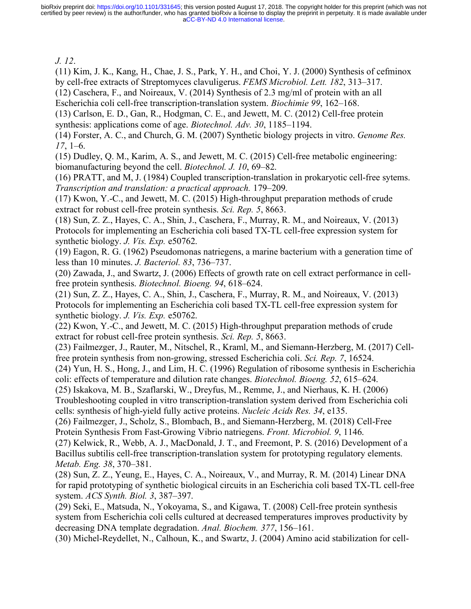[aCC-BY-ND 4.0 International license.](http://creativecommons.org/licenses/by-nd/4.0/) certified by peer review) is the author/funder, who has granted bioRxiv a license to display the preprint in perpetuity. It is made available under bioRxiv preprint doi: [https://doi.org/10.1101/331645;](https://doi.org/10.1101/331645) this version posted August 17, 2018. The copyright holder for this preprint (which was not

*J. 12*.

(11) Kim, J. K., Kang, H., Chae, J. S., Park, Y. H., and Choi, Y. J. (2000) Synthesis of cefminox by cell-free extracts of Streptomyces clavuligerus. *FEMS Microbiol. Lett. 182*, 313–317.

(12) Caschera, F., and Noireaux, V. (2014) Synthesis of 2.3 mg/ml of protein with an all Escherichia coli cell-free transcription-translation system. *Biochimie 99*, 162–168.

(13) Carlson, E. D., Gan, R., Hodgman, C. E., and Jewett, M. C. (2012) Cell-free protein synthesis: applications come of age. *Biotechnol. Adv. 30*, 1185–1194.

(14) Forster, A. C., and Church, G. M. (2007) Synthetic biology projects in vitro. *Genome Res. 17*, 1–6.

(15) Dudley, Q. M., Karim, A. S., and Jewett, M. C. (2015) Cell-free metabolic engineering: biomanufacturing beyond the cell. *Biotechnol. J. 10*, 69–82.

(16) PRATT, and M, J. (1984) Coupled transcription-translation in prokaryotic cell-free sytems. *Transcription and translation: a practical approach.* 179–209.

(17) Kwon, Y.-C., and Jewett, M. C. (2015) High-throughput preparation methods of crude extract for robust cell-free protein synthesis. *Sci. Rep. 5*, 8663.

(18) Sun, Z. Z., Hayes, C. A., Shin, J., Caschera, F., Murray, R. M., and Noireaux, V. (2013) Protocols for implementing an Escherichia coli based TX-TL cell-free expression system for synthetic biology. *J. Vis. Exp.* e50762.

(19) Eagon, R. G. (1962) Pseudomonas natriegens, a marine bacterium with a generation time of less than 10 minutes. *J. Bacteriol. 83*, 736–737.

(20) Zawada, J., and Swartz, J. (2006) Effects of growth rate on cell extract performance in cellfree protein synthesis. *Biotechnol. Bioeng. 94*, 618–624.

(21) Sun, Z. Z., Hayes, C. A., Shin, J., Caschera, F., Murray, R. M., and Noireaux, V. (2013) Protocols for implementing an Escherichia coli based TX-TL cell-free expression system for synthetic biology. *J. Vis. Exp.* e50762.

(22) Kwon, Y.-C., and Jewett, M. C. (2015) High-throughput preparation methods of crude extract for robust cell-free protein synthesis. *Sci. Rep. 5*, 8663.

(23) Failmezger, J., Rauter, M., Nitschel, R., Kraml, M., and Siemann-Herzberg, M. (2017) Cellfree protein synthesis from non-growing, stressed Escherichia coli. *Sci. Rep. 7*, 16524.

(24) Yun, H. S., Hong, J., and Lim, H. C. (1996) Regulation of ribosome synthesis in Escherichia coli: effects of temperature and dilution rate changes. *Biotechnol. Bioeng. 52*, 615–624.

(25) Iskakova, M. B., Szaflarski, W., Dreyfus, M., Remme, J., and Nierhaus, K. H. (2006) Troubleshooting coupled in vitro transcription-translation system derived from Escherichia coli cells: synthesis of high-yield fully active proteins. *Nucleic Acids Res. 34*, e135.

(26) Failmezger, J., Scholz, S., Blombach, B., and Siemann-Herzberg, M. (2018) Cell-Free Protein Synthesis From Fast-Growing Vibrio natriegens. *Front. Microbiol. 9*, 1146.

(27) Kelwick, R., Webb, A. J., MacDonald, J. T., and Freemont, P. S. (2016) Development of a Bacillus subtilis cell-free transcription-translation system for prototyping regulatory elements. *Metab. Eng. 38*, 370–381.

(28) Sun, Z. Z., Yeung, E., Hayes, C. A., Noireaux, V., and Murray, R. M. (2014) Linear DNA for rapid prototyping of synthetic biological circuits in an Escherichia coli based TX-TL cell-free system. *ACS Synth. Biol. 3*, 387–397.

(29) Seki, E., Matsuda, N., Yokoyama, S., and Kigawa, T. (2008) Cell-free protein synthesis system from Escherichia coli cells cultured at decreased temperatures improves productivity by decreasing DNA template degradation. *Anal. Biochem. 377*, 156–161.

(30) Michel-Reydellet, N., Calhoun, K., and Swartz, J. (2004) Amino acid stabilization for cell-